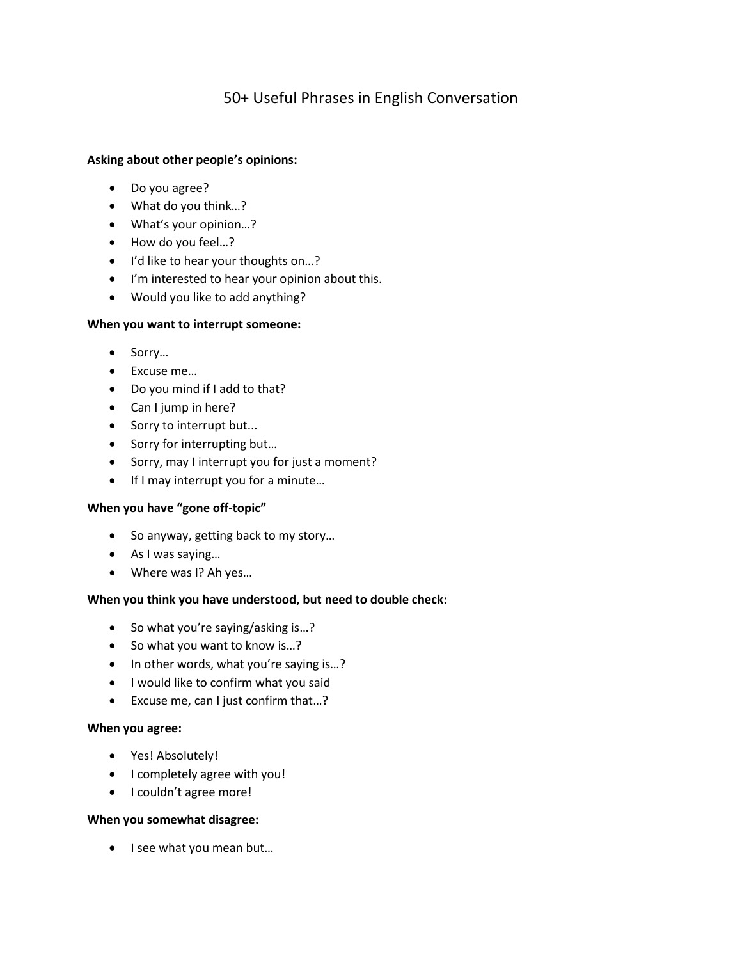# 50+ Useful Phrases in English Conversation

## **Asking about other people's opinions:**

- Do you agree?
- What do you think…?
- What's your opinion…?
- How do you feel…?
- I'd like to hear your thoughts on...?
- I'm interested to hear your opinion about this.
- Would you like to add anything?

### **When you want to interrupt someone:**

- Sorry…
- Excuse me…
- Do you mind if I add to that?
- Can I jump in here?
- Sorry to interrupt but...
- Sorry for interrupting but...
- Sorry, may I interrupt you for just a moment?
- If I may interrupt you for a minute...

## **When you have "gone off-topic"**

- So anyway, getting back to my story…
- As I was saying…
- Where was I? Ah yes…

## **When you think you have understood, but need to double check:**

- So what you're saying/asking is...?
- So what you want to know is...?
- In other words, what you're saying is...?
- I would like to confirm what you said
- Excuse me, can I just confirm that…?

#### **When you agree:**

- Yes! Absolutely!
- I completely agree with you!
- I couldn't agree more!

### **When you somewhat disagree:**

• I see what you mean but...